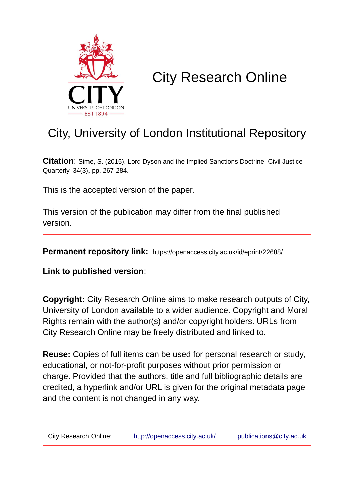

# City Research Online

# City, University of London Institutional Repository

**Citation**: Sime, S. (2015). Lord Dyson and the Implied Sanctions Doctrine. Civil Justice Quarterly, 34(3), pp. 267-284.

This is the accepted version of the paper.

This version of the publication may differ from the final published version.

**Permanent repository link:** https://openaccess.city.ac.uk/id/eprint/22688/

**Link to published version**:

**Copyright:** City Research Online aims to make research outputs of City, University of London available to a wider audience. Copyright and Moral Rights remain with the author(s) and/or copyright holders. URLs from City Research Online may be freely distributed and linked to.

**Reuse:** Copies of full items can be used for personal research or study, educational, or not-for-profit purposes without prior permission or charge. Provided that the authors, title and full bibliographic details are credited, a hyperlink and/or URL is given for the original metadata page and the content is not changed in any way.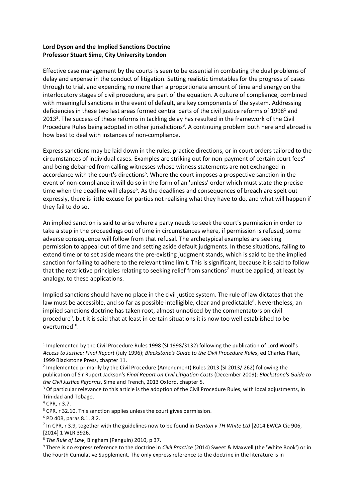## **Lord Dyson and the Implied Sanctions Doctrine Professor Stuart Sime, City University London**

Effective case management by the courts is seen to be essential in combating the dual problems of delay and expense in the conduct of litigation. Setting realistic timetables for the progress of cases through to trial, and expending no more than a proportionate amount of time and energy on the interlocutory stages of civil procedure, are part of the equation. A culture of compliance, combined with meaningful sanctions in the event of default, are key components of the system. Addressing deficiencies in these two last areas formed central parts of the civil justice reforms of 1998<sup>1</sup> and 2013<sup>2</sup>. The success of these reforms in tackling delay has resulted in the framework of the Civil Procedure Rules being adopted in other jurisdictions<sup>3</sup>. A continuing problem both here and abroad is how best to deal with instances of non-compliance.

Express sanctions may be laid down in the rules, practice directions, or in court orders tailored to the circumstances of individual cases. Examples are striking out for non-payment of certain court fees<sup>4</sup> and being debarred from calling witnesses whose witness statements are not exchanged in accordance with the court's directions<sup>5</sup>. Where the court imposes a prospective sanction in the event of non-compliance it will do so in the form of an 'unless' order which must state the precise time when the deadline will elapse<sup>6</sup>. As the deadlines and consequences of breach are spelt out expressly, there is little excuse for parties not realising what they have to do, and what will happen if they fail to do so.

An implied sanction is said to arise where a party needs to seek the court's permission in order to take a step in the proceedings out of time in circumstances where, if permission is refused, some adverse consequence will follow from that refusal. The archetypical examples are seeking permission to appeal out of time and setting aside default judgments. In these situations, failing to extend time or to set aside means the pre-existing judgment stands, which is said to be the implied sanction for failing to adhere to the relevant time limit. This is significant, because it is said to follow that the restrictive principles relating to seeking relief from sanctions<sup>7</sup> must be applied, at least by analogy, to these applications.

Implied sanctions should have no place in the civil justice system. The rule of law dictates that the law must be accessible, and so far as possible intelligible, clear and predictable<sup>8</sup>. Nevertheless, an implied sanctions doctrine has taken root, almost unnoticed by the commentators on civil procedure<sup>9</sup>, but it is said that at least in certain situations it is now too well established to be overturned<sup>10</sup>.

 $\overline{a}$ 

<sup>&</sup>lt;sup>1</sup> Implemented by the Civil Procedure Rules 1998 (SI 1998/3132) following the publication of Lord Woolf's *Access to Justice: Final Report* (July 1996); *Blackstone's Guide to the Civil Procedure Rules*, ed Charles Plant, 1999 Blackstone Press, chapter 11.

<sup>&</sup>lt;sup>2</sup> Implemented primarily by the Civil Procedure (Amendment) Rules 2013 (SI 2013/ 262) following the publication of Sir Rupert Jackson's *Final Report on Civil Litigation Costs* (December 2009); *Blackstone's Guide to the Civil Justice Reforms*, Sime and French, 2013 Oxford, chapter 5.

<sup>&</sup>lt;sup>3</sup> Of particular relevance to this article is the adoption of the Civil Procedure Rules, with local adjustments, in Trinidad and Tobago.

<sup>4</sup> CPR, r 3.7.

<sup>&</sup>lt;sup>5</sup> CPR, r 32.10. This sanction applies unless the court gives permission.

<sup>6</sup> PD 40B, paras 8.1, 8.2.

<sup>7</sup> In CPR, r 3.9, together with the guidelines now to be found in *Denton v TH White Ltd* [2014 EWCA Cic 906, [2014] 1 WLR 3926.

<sup>8</sup> *The Rule of Law*, Bingham (Penguin) 2010, p 37.

<sup>9</sup> There is no express reference to the doctrine in *Civil Practice* (2014) Sweet & Maxwell (the 'White Book') or in the Fourth Cumulative Supplement. The only express reference to the doctrine in the literature is in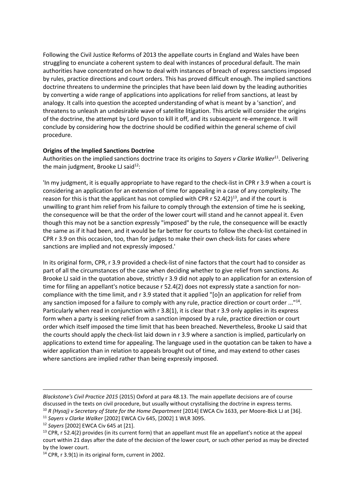Following the Civil Justice Reforms of 2013 the appellate courts in England and Wales have been struggling to enunciate a coherent system to deal with instances of procedural default. The main authorities have concentrated on how to deal with instances of breach of express sanctions imposed by rules, practice directions and court orders. This has proved difficult enough. The implied sanctions doctrine threatens to undermine the principles that have been laid down by the leading authorities by converting a wide range of applications into applications for relief from sanctions, at least by analogy. It calls into question the accepted understanding of what is meant by a 'sanction', and threatens to unleash an undesirable wave of satellite litigation. This article will consider the origins of the doctrine, the attempt by Lord Dyson to kill it off, and its subsequent re-emergence. It will conclude by considering how the doctrine should be codified within the general scheme of civil procedure.

### **Origins of the Implied Sanctions Doctrine**

Authorities on the implied sanctions doctrine trace its origins to Sayers v Clarke Walker<sup>11</sup>. Delivering the main judgment, Brooke LJ said $^{12}$ :

'In my judgment, it is equally appropriate to have regard to the check-list in CPR r 3.9 when a court is considering an application for an extension of time for appealing in a case of any complexity. The reason for this is that the applicant has not complied with CPR  $r$  52.4(2)<sup>13</sup>, and if the court is unwilling to grant him relief from his failure to comply through the extension of time he is seeking, the consequence will be that the order of the lower court will stand and he cannot appeal it. Even though this may not be a sanction expressly "imposed" by the rule, the consequence will be exactly the same as if it had been, and it would be far better for courts to follow the check-list contained in CPR r 3.9 on this occasion, too, than for judges to make their own check-lists for cases where sanctions are implied and not expressly imposed.'

In its original form, CPR, r 3.9 provided a check-list of nine factors that the court had to consider as part of all the circumstances of the case when deciding whether to give relief from sanctions. As Brooke LJ said in the quotation above, strictly r 3.9 did not apply to an application for an extension of time for filing an appellant's notice because r 52.4(2) does not expressly state a sanction for noncompliance with the time limit, and r 3.9 stated that it applied "[o]n an application for relief from any sanction imposed for a failure to comply with any rule, practice direction or court order ..."<sup>14</sup>. Particularly when read in conjunction with r 3.8(1), it is clear that r 3.9 only applies in its express form when a party is seeking relief from a sanction imposed by a rule, practice direction or court order which itself imposed the time limit that has been breached. Nevertheless, Brooke LJ said that the courts should apply the check-list laid down in r 3.9 where a sanction is implied, particularly on applications to extend time for appealing. The language used in the quotation can be taken to have a wider application than in relation to appeals brought out of time, and may extend to other cases where sanctions are implied rather than being expressly imposed.

*Blackstone's Civil Practice 2015* (2015) Oxford at para 48.13. The main appellate decisions are of course discussed in the texts on civil procedure, but usually without crystallising the doctrine in express terms. <sup>10</sup> *R (Hysaj) v Secretary of State for the Home Department* [2014] EWCA Civ 1633, per Moore-Bick LJ at [36].

<sup>11</sup> *Sayers v Clarke Walker* [2002] EWCA Civ 645, [2002] 1 WLR 3095.

1

 $13$  CPR, r 52.4(2) provides (in its current form) that an appellant must file an appellant's notice at the appeal court within 21 days after the date of the decision of the lower court, or such other period as may be directed by the lower court.

<sup>14</sup> CPR, r 3.9(1) in its original form, current in 2002.

<sup>12</sup> *Sayers* [2002] EWCA Civ 645 at [21].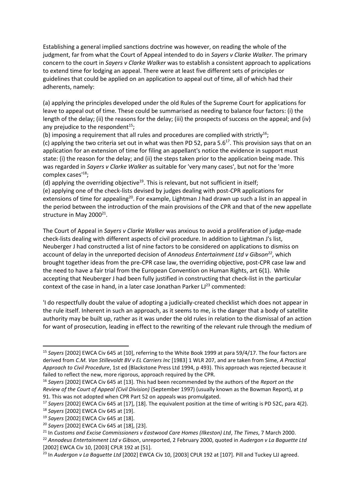Establishing a general implied sanctions doctrine was however, on reading the whole of the judgment, far from what the Court of Appeal intended to do in *Sayers v Clarke Walker*. The primary concern to the court in *Sayers v Clarke Walker* was to establish a consistent approach to applications to extend time for lodging an appeal. There were at least five different sets of principles or guidelines that could be applied on an application to appeal out of time, all of which had their adherents, namely:

(a) applying the principles developed under the old Rules of the Supreme Court for applications for leave to appeal out of time. These could be summarised as needing to balance four factors: (i) the length of the delay; (ii) the reasons for the delay; (iii) the prospects of success on the appeal; and (iv) any prejudice to the respondent $15$ ;

(b) imposing a requirement that all rules and procedures are complied with strictly<sup>16</sup>;

(c) applying the two criteria set out in what was then PD 52, para  $5.6^{17}$ . This provision says that on an application for an extension of time for filing an appellant's notice the evidence in support must state: (i) the reason for the delay; and (ii) the steps taken prior to the application being made. This was regarded in *Sayers v Clarke Walker* as suitable for 'very many cases', but not for the 'more complex cases<sup>'18</sup>;

(d) applying the overriding objective<sup>19</sup>. This is relevant, but not sufficient in itself;

(e) applying one of the check-lists devised by judges dealing with post-CPR applications for extensions of time for appealing<sup>20</sup>. For example, Lightman J had drawn up such a list in an appeal in the period between the introduction of the main provisions of the CPR and that of the new appellate structure in May 2000<sup>21</sup>.

The Court of Appeal in *Sayers v Clarke Walker* was anxious to avoid a proliferation of judge-made check-lists dealing with different aspects of civil procedure. In addition to Lightman J's list, Neuberger J had constructed a list of nine factors to be considered on applications to dismiss on account of delay in the unreported decision of *Annodeus Entertainment Ltd v Gibson<sup>22</sup>* , which brought together ideas from the pre-CPR case law, the overriding objective, post-CPR case law and the need to have a fair trial from the European Convention on Human Rights, art 6(1). While accepting that Neuberger J had been fully justified in constructing that check-list in the particular context of the case in hand, in a later case Jonathan Parker  $L^{23}$  commented:

'I do respectfully doubt the value of adopting a judicially-created checklist which does not appear in the rule itself. Inherent in such an approach, as it seems to me, is the danger that a body of satellite authority may be built up, rather as it was under the old rules in relation to the dismissal of an action for want of prosecution, leading in effect to the rewriting of the relevant rule through the medium of

<sup>15</sup> *Sayers* [2002] EWCA Civ 645 at [10], referring to the White Book 1999 at para 59/4/17. The four factors are derived from *C.M. Van Stillevoldt BV v EL Carriers Inc* [1983] 1 WLR 207, and are taken from Sime, *A Practical Approach to Civil Procedure*, 1st ed (Blackstone Press Ltd 1994, p 493). This approach was rejected because it failed to reflect the new, more rigorous, approach required by the CPR.

<sup>16</sup> *Sayers* [2002] EWCA Civ 645 at [13]. This had been recommended by the authors of the *Report on the Review of the Court of Appeal (Civil Division)* (September 1997) (usually known as the Bowman Report), at p 91. This was not adopted when CPR Part 52 on appeals was promulgated.

<sup>17</sup> *Sayers* [2002] EWCA Civ 645 at [17], [18]. The equivalent position at the time of writing is PD 52C, para 4(2).

<sup>18</sup> *Sayers* [2002] EWCA Civ 645 at [19].

<sup>19</sup> *Sayers* [2002] EWCA Civ 645 at [18].

<sup>20</sup> *Sayers* [2002] EWCA Civ 645 at [18], [23].

<sup>21</sup> In *Customs and Excise Commissioners v Eastwood Care Homes (Ilkeston) Ltd*, *The Times*, 7 March 2000.

<sup>22</sup> *Annodeus Entertainment Ltd v Gibson*, unreported, 2 February 2000, quoted in *Audergon v La Baguette Ltd* [2002] EWCA Civ 10, [2003] CPLR 192 at [51].

<sup>23</sup> In *Audergon v La Baguette Ltd* [2002] EWCA Civ 10, [2003] CPLR 192 at [107]. Pill and Tuckey LJJ agreed.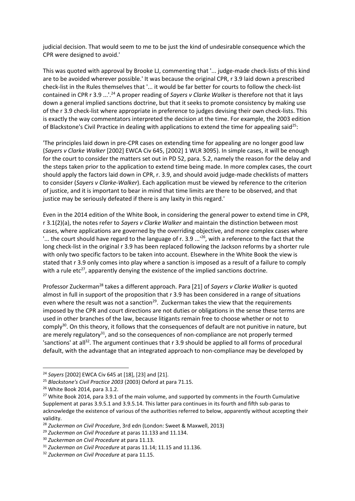judicial decision. That would seem to me to be just the kind of undesirable consequence which the CPR were designed to avoid.'

This was quoted with approval by Brooke LJ, commenting that '... judge-made check-lists of this kind are to be avoided wherever possible.' It was because the original CPR, r 3.9 laid down a prescribed check-list in the Rules themselves that '... it would be far better for courts to follow the check-list contained in CPR r 3.9 ...'.<sup>24</sup> A proper reading of *Sayers v Clarke Walker* is therefore not that it lays down a general implied sanctions doctrine, but that it seeks to promote consistency by making use of the r 3.9 check-list where appropriate in preference to judges devising their own check-lists. This is exactly the way commentators interpreted the decision at the time. For example, the 2003 edition of Blackstone's Civil Practice in dealing with applications to extend the time for appealing said<sup>25</sup>:

'The principles laid down in pre-CPR cases on extending time for appealing are no longer good law (*Sayers v Clarke Walker* [2002] EWCA Civ 645, [2002] 1 WLR 3095). In simple cases, it will be enough for the court to consider the matters set out in PD 52, para. 5.2, namely the reason for the delay and the steps taken prior to the application to extend time being made. In more complex cases, the court should apply the factors laid down in CPR, r. 3.9, and should avoid judge-made checklists of matters to consider (*Sayers v Clarke-Walker*). Each application must be viewed by reference to the criterion of justice, and it is important to bear in mind that time limits are there to be observed, and that justice may be seriously defeated if there is any laxity in this regard.'

Even in the 2014 edition of the White Book, in considering the general power to extend time in CPR, r 3.1(2)(a), the notes refer to *Sayers v Clarke Walker* and maintain the distinction between most cases, where applications are governed by the overriding objective, and more complex cases where  $\ldots$  the court should have regard to the language of r. 3.9  $\ldots$ <sup>26</sup>, with a reference to the fact that the long check-list in the original r 3.9 has been replaced following the Jackson reforms by a shorter rule with only two specific factors to be taken into account. Elsewhere in the White Book the view is stated that r 3.9 only comes into play where a sanction is imposed as a result of a failure to comply with a rule etc<sup>27</sup>, apparently denying the existence of the implied sanctions doctrine.

Professor Zuckerman<sup>28</sup> takes a different approach. Para [21] of *Sayers v Clarke Walker* is quoted almost in full in support of the proposition that r 3.9 has been considered in a range of situations even where the result was not a sanction<sup>29</sup>. Zuckerman takes the view that the requirements imposed by the CPR and court directions are not duties or obligations in the sense these terms are used in other branches of the law, because litigants remain free to choose whether or not to comply<sup>30</sup>. On this theory, it follows that the consequences of default are not punitive in nature, but are merely regulatory $31$ , and so the consequences of non-compliance are not properly termed 'sanctions' at all<sup>32</sup>. The argument continues that r 3.9 should be applied to all forms of procedural default, with the advantage that an integrated approach to non-compliance may be developed by

<sup>24</sup> *Sayers* [2002] EWCA Civ 645 at [18], [23] and [21].

<sup>25</sup> *Blackstone's Civil Practice 2003* (2003) Oxford at para 71.15.

<sup>26</sup> White Book 2014, para 3.1.2.

<sup>&</sup>lt;sup>27</sup> White Book 2014, para 3.9.1 of the main volume, and supported by comments in the Fourth Cumulative Supplement at paras 3.9.5.1 and 3.9.5.14. This latter para continues in its fourth and fifth sub-paras to acknowledge the existence of various of the authorities referred to below, apparently without accepting their validity.

<sup>28</sup> *Zuckerman on Civil Procedure*, 3rd edn (London: Sweet & Maxwell, 2013)

<sup>29</sup> *Zuckerman on Civil Procedure* at paras 11.133 and 11.134.

<sup>30</sup> *Zuckerman on Civil Procedure* at para 11.13.

<sup>31</sup> *Zuckerman on Civil Procedure* at paras 11.14; 11.15 and 11.136.

<sup>32</sup> *Zuckerman on Civil Procedure* at para 11.15.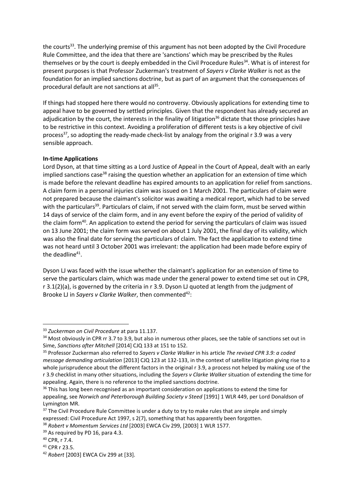the courts<sup>33</sup>. The underlying premise of this argument has not been adopted by the Civil Procedure Rule Committee, and the idea that there are 'sanctions' which may be prescribed by the Rules themselves or by the court is deeply embedded in the Civil Procedure Rules<sup>34</sup>. What is of interest for present purposes is that Professor Zuckerman's treatment of *Sayers v Clarke Walker* is not as the foundation for an implied sanctions doctrine, but as part of an argument that the consequences of procedural default are not sanctions at all<sup>35</sup>.

If things had stopped here there would no controversy. Obviously applications for extending time to appeal have to be governed by settled principles. Given that the respondent has already secured an adjudication by the court, the interests in the finality of litigation<sup>36</sup> dictate that those principles have to be restrictive in this context. Avoiding a proliferation of different tests is a key objective of civil process<sup>37</sup>, so adopting the ready-made check-list by analogy from the original r 3.9 was a very sensible approach.

#### **In-time Applications**

Lord Dyson, at that time sitting as a Lord Justice of Appeal in the Court of Appeal, dealt with an early implied sanctions case<sup>38</sup> raising the question whether an application for an extension of time which is made before the relevant deadline has expired amounts to an application for relief from sanctions. A claim form in a personal injuries claim was issued on 1 March 2001. The particulars of claim were not prepared because the claimant's solicitor was awaiting a medical report, which had to be served with the particulars<sup>39</sup>. Particulars of claim, if not served with the claim form, must be served within 14 days of service of the claim form, and in any event before the expiry of the period of validity of the claim form<sup>40</sup>. An application to extend the period for serving the particulars of claim was issued on 13 June 2001; the claim form was served on about 1 July 2001, the final day of its validity, which was also the final date for serving the particulars of claim. The fact the application to extend time was not heard until 3 October 2001 was irrelevant: the application had been made before expiry of the deadline<sup>41</sup>.

Dyson LJ was faced with the issue whether the claimant's application for an extension of time to serve the particulars claim, which was made under the general power to extend time set out in CPR, r 3.1(2)(a), is governed by the criteria in r 3.9. Dyson LJ quoted at length from the judgment of Brooke LJ in *Sayers v Clarke Walker*, then commented<sup>42</sup>:

 $\overline{a}$ 

<sup>33</sup> *Zuckerman on Civil Procedure* at para 11.137.

<sup>&</sup>lt;sup>34</sup> Most obviously in CPR rr 3.7 to 3.9, but also in numerous other places, see the table of sanctions set out in Sime, *Sanctions after Mitchell* [2014] CJQ 133 at 151 to 152.

<sup>35</sup> Professor Zuckerman also referred to *Sayers v Clarke Walker* in his article *The revised CPR 3.9: a coded message demanding articulation* [2013] CJQ 123 at 132-133, in the context of satellite litigation giving rise to a whole jurisprudence about the different factors in the original r 3.9, a process not helped by making use of the r 3.9 checklist in many other situations, including the *Sayers v Clarke Walker* situation of extending the time for appealing. Again, there is no reference to the implied sanctions doctrine.

<sup>&</sup>lt;sup>36</sup> This has long been recognised as an important consideration on applications to extend the time for appealing, see *Norwich and Peterborough Building Society v Steed* [1991] 1 WLR 449, per Lord Donaldson of Lymington MR.

<sup>&</sup>lt;sup>37</sup> The Civil Procedure Rule Committee is under a duty to try to make rules that are simple and simply expressed: Civil Procedure Act 1997, s 2(7), something that has apparently been forgotten. <sup>38</sup> *Robert v Momentum Services Ltd* [2003] EWCA Civ 299, [2003] 1 WLR 1577.

<sup>&</sup>lt;sup>39</sup> As required by PD 16, para 4.3.

<sup>40</sup> CPR, r 7.4.

<sup>41</sup> CPR r 23.5.

<sup>42</sup> *Robert* [2003] EWCA Civ 299 at [33].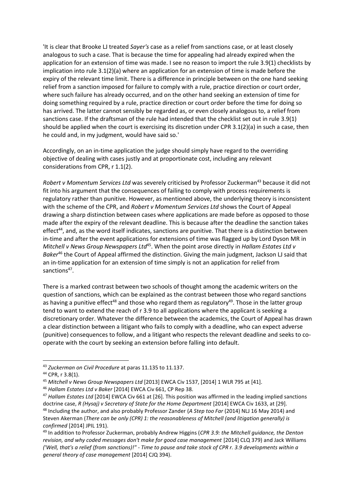'It is clear that Brooke LJ treated *Sayer's* case as a relief from sanctions case, or at least closely analogous to such a case. That is because the time for appealing had already expired when the application for an extension of time was made. I see no reason to import the rule 3.9(1) checklists by implication into rule 3.1(2)(a) where an application for an extension of time is made before the expiry of the relevant time limit. There is a difference in principle between on the one hand seeking relief from a sanction imposed for failure to comply with a rule, practice direction or court order, where such failure has already occurred, and on the other hand seeking an extension of time for doing something required by a rule, practice direction or court order before the time for doing so has arrived. The latter cannot sensibly be regarded as, or even closely analogous to, a relief from sanctions case. If the draftsman of the rule had intended that the checklist set out in rule 3.9(1) should be applied when the court is exercising its discretion under CPR 3.1(2)(a) in such a case, then he could and, in my judgment, would have said so.'

Accordingly, on an in-time application the judge should simply have regard to the overriding objective of dealing with cases justly and at proportionate cost, including any relevant considerations from CPR, r 1.1(2).

*Robert v Momentum Services Ltd* was severely criticised by Professor Zuckerman<sup>43</sup> because it did not fit into his argument that the consequences of failing to comply with process requirements is regulatory rather than punitive. However, as mentioned above, the underlying theory is inconsistent with the scheme of the CPR, and *Robert v Momentum Services Ltd* shows the Court of Appeal drawing a sharp distinction between cases where applications are made before as opposed to those made after the expiry of the relevant deadline. This is because after the deadline the sanction takes effect<sup>44</sup>, and, as the word itself indicates, sanctions are punitive. That there is a distinction between in-time and after the event applications for extensions of time was flagged up by Lord Dyson MR in *Mitchell v News Group Newspapers Ltd*<sup>45</sup>. When the point arose directly in *Hallam Estates Ltd v Baker*<sup>46</sup> the Court of Appeal affirmed the distinction. Giving the main judgment, Jackson LJ said that an in-time application for an extension of time simply is not an application for relief from sanctions<sup>47</sup>.

There is a marked contrast between two schools of thought among the academic writers on the question of sanctions, which can be explained as the contrast between those who regard sanctions as having a punitive effect<sup>48</sup> and those who regard them as regulatory<sup>49</sup>. Those in the latter group tend to want to extend the reach of r 3.9 to all applications where the applicant is seeking a discretionary order. Whatever the difference between the academics, the Court of Appeal has drawn a clear distinction between a litigant who fails to comply with a deadline, who can expect adverse (punitive) consequences to follow, and a litigant who respects the relevant deadline and seeks to cooperate with the court by seeking an extension before falling into default.

<sup>43</sup> *Zuckerman on Civil Procedure* at paras 11.135 to 11.137.

<sup>44</sup> CPR, r 3.8(1).

<sup>45</sup> *Mitchell v News Group Newspapers Ltd* [2013] EWCA Civ 1537, [2014] 1 WLR 795 at [41].

<sup>46</sup> *Hallam Estates Ltd v Baker* [2014] EWCA Civ 661, CP Rep 38.

<sup>47</sup> *Hallam Estates Ltd* [2014] EWCA Civ 661 at [26]. This position was affirmed in the leading implied sanctions doctrine case, *R (Hysaj) v Secretary of State for the Home Department* [2014] EWCA Civ 1633, at [29]. <sup>48</sup> Including the author, and also probably Professor Zander (*A Step too Far* (2014) NLJ 16 May 2014) and Steven Akerman (*There can be only (CPR) 1: the reasonableness of Mitchell (and litigation generally) is confirmed* [2014] JPIL 191).

<sup>49</sup> In addition to Professor Zuckerman, probably Andrew Higgins (*CPR 3.9: the Mitchell guidance, the Denton revision, and why coded messages don't make for good case management* [2014] CLQ 379) and Jack Williams *('Well, that's a relief (from sanctions)!" - Time to pause and take stock of CPR r. 3.9 developments within a general theory of case management* [2014] CJQ 394).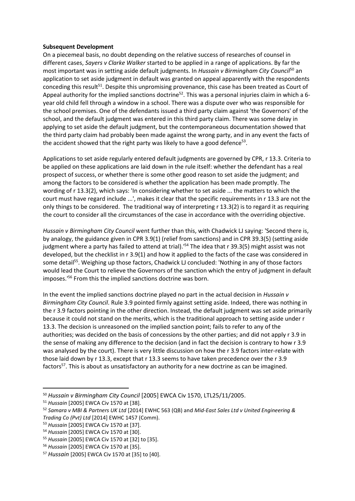#### **Subsequent Development**

On a piecemeal basis, no doubt depending on the relative success of researches of counsel in different cases, *Sayers v Clarke Walker* started to be applied in a range of applications. By far the most important was in setting aside default judgments. In *Hussain v Birmingham City Council*<sup>50</sup> an application to set aside judgment in default was granted on appeal apparently with the respondents conceding this result<sup>51</sup>. Despite this unpromising provenance, this case has been treated as Court of Appeal authority for the implied sanctions doctrine<sup>52</sup>. This was a personal injuries claim in which a 6year old child fell through a window in a school. There was a dispute over who was responsible for the school premises. One of the defendants issued a third party claim against 'the Governors' of the school, and the default judgment was entered in this third party claim. There was some delay in applying to set aside the default judgment, but the contemporaneous documentation showed that the third party claim had probably been made against the wrong party, and in any event the facts of the accident showed that the right party was likely to have a good defence<sup>53</sup>.

Applications to set aside regularly entered default judgments are governed by CPR, r 13.3. Criteria to be applied on these applications are laid down in the rule itself: whether the defendant has a real prospect of success, or whether there is some other good reason to set aside the judgment; and among the factors to be considered is whether the application has been made promptly. The wording of r 13.3(2), which says: 'In considering whether to set aside ... the matters to which the court must have regard include ...', makes it clear that the specific requirements in r 13.3 are not the only things to be considered. The traditional way of interpreting r 13.3(2) is to regard it as requiring the court to consider all the circumstances of the case in accordance with the overriding objective.

*Hussain v Birmingham City Council* went further than this, with Chadwick LJ saying: 'Second there is, by analogy, the guidance given in CPR 3.9(1) (relief from sanctions) and in CPR 39.3(5) (setting aside judgment where a party has failed to attend at trial).<sup>'54</sup> The idea that r 39.3(5) might assist was not developed, but the checklist in r 3.9(1) and how it applied to the facts of the case was considered in some detail<sup>55</sup>. Weighing up those factors, Chadwick LJ concluded: 'Nothing in any of those factors would lead the Court to relieve the Governors of the sanction which the entry of judgment in default imposes.'<sup>56</sup> From this the implied sanctions doctrine was born.

In the event the implied sanctions doctrine played no part in the actual decision in *Hussain v Birmingham City Council*. Rule 3.9 pointed firmly against setting aside. Indeed, there was nothing in the r 3.9 factors pointing in the other direction. Instead, the default judgment was set aside primarily because it could not stand on the merits, which is the traditional approach to setting aside under r 13.3. The decision is unreasoned on the implied sanction point; fails to refer to any of the authorities; was decided on the basis of concessions by the other parties; and did not apply r 3.9 in the sense of making any difference to the decision (and in fact the decision is contrary to how r 3.9 was analysed by the court). There is very little discussion on how the r 3.9 factors inter-relate with those laid down by r 13.3, except that r 13.3 seems to have taken precedence over the r 3.9 factors<sup>57</sup>. This is about as unsatisfactory an authority for a new doctrine as can be imagined.

<sup>50</sup> *Hussain v Birmingham City Council* [2005] EWCA Civ 1570, LTL25/11/2005.

<sup>51</sup> *Hussain* [2005] EWCA Civ 1570 at [38].

<sup>52</sup> *Samara v MBI & Partners UK Ltd* [2014] EWHC 563 (QB) and *Mid-East Sales Ltd v United Engineering & Trading Co (Pvt) Ltd* [2014] EWHC 1457 (Comm).

<sup>53</sup> *Hussain* [2005] EWCA Civ 1570 at [37]. <sup>54</sup> *Hussain* [2005] EWCA Civ 1570 at [30].

<sup>55</sup> *Hussain* [2005] EWCA Civ 1570 at [32] to [35].

<sup>56</sup> *Hussain* [2005] EWCA Civ 1570 at [35].

<sup>57</sup> *Hussain* [2005] EWCA Civ 1570 at [35] to [40].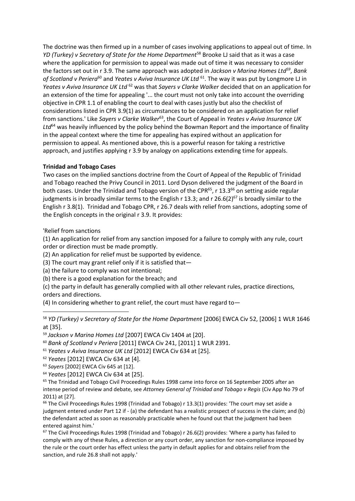The doctrine was then firmed up in a number of cases involving applications to appeal out of time. In *YD (Turkey) v Secretary of State for the Home Department*<sup>58</sup> Brooke LJ said that as it was a case where the application for permission to appeal was made out of time it was necessary to consider the factors set out in r 3.9. The same approach was adopted in *Jackson v Marina Homes Ltd<sup>59</sup>* , *Bank*  of Scotland v Periera<sup>60</sup> and Yeates v Aviva Insurance UK Ltd <sup>61</sup>. The way it was put by Longmore LJ in *Yeates v Aviva Insurance UK Ltd* <sup>62</sup> was that *Sayers v Clarke Walker* decided that on an application for an extension of the time for appealing '... the court must not only take into account the overriding objective in CPR 1.1 of enabling the court to deal with cases justly but also the checklist of considerations listed in CPR 3.9(1) as circumstances to be considered on an application for relief from sanctions.' Like *Sayers v Clarke Walker*<sup>63</sup>, the Court of Appeal in *Yeates v Aviva Insurance UK*  Ltd<sup>64</sup> was heavily influenced by the policy behind the Bowman Report and the importance of finality in the appeal context where the time for appealing has expired without an application for permission to appeal. As mentioned above, this is a powerful reason for taking a restrictive approach, and justifies applying r 3.9 by analogy on applications extending time for appeals.

#### **Trinidad and Tobago Cases**

Two cases on the implied sanctions doctrine from the Court of Appeal of the Republic of Trinidad and Tobago reached the Privy Council in 2011. Lord Dyson delivered the judgment of the Board in both cases. Under the Trinidad and Tobago version of the CPR<sup>65</sup>, r 13.3<sup>66</sup> on setting aside regular judgments is in broadly similar terms to the English r 13.3; and r 26.6(2)<sup>67</sup> is broadly similar to the English r 3.8(1). Trinidad and Tobago CPR, r 26.7 deals with relief from sanctions, adopting some of the English concepts in the original r 3.9. It provides:

#### 'Relief from sanctions

1

(1) An application for relief from any sanction imposed for a failure to comply with any rule, court order or direction must be made promptly.

(2) An application for relief must be supported by evidence.

(3) The court may grant relief only if it is satisfied that―

(a) the failure to comply was not intentional;

(b) there is a good explanation for the breach; and

(c) the party in default has generally complied with all other relevant rules, practice directions, orders and directions.

(4) In considering whether to grant relief, the court must have regard to―

<sup>58</sup> *YD (Turkey) v Secretary of State for the Home Department* [2006] EWCA Civ 52, [2006] 1 WLR 1646 at [35].

<sup>59</sup> *Jackson v Marina Homes Ltd* [2007] EWCA Civ 1404 at [20].

<sup>60</sup> *Bank of Scotland v Periera* [2011] EWCA Civ 241, [2011] 1 WLR 2391.

<sup>61</sup> *Yeates v Aviva Insurance UK Ltd* [2012] EWCA Civ 634 at [25].

<sup>62</sup> *Yeates* [2012] EWCA Civ 634 at [4].

<sup>63</sup> *Sayers* [2002] EWCA Civ 645 at [12].

<sup>64</sup> *Yeates* [2012] EWCA Civ 634 at [25].

<sup>65</sup> The Trinidad and Tobago Civil Proceedings Rules 1998 came into force on 16 September 2005 after an intense period of review and debate, see *Attorney General of Trinidad and Tobago v Regis* (Civ App No 79 of 2011) at [27].

 $66$  The Civil Proceedings Rules 1998 (Trinidad and Tobago) r 13.3(1) provides: 'The court may set aside a judgment entered under Part 12 if - (a) the defendant has a realistic prospect of success in the claim; and (b) the defendant acted as soon as reasonably practicable when he found out that the judgment had been entered against him.'

 $67$  The Civil Proceedings Rules 1998 (Trinidad and Tobago) r 26.6(2) provides: 'Where a party has failed to comply with any of these Rules, a direction or any court order, any sanction for non-compliance imposed by the rule or the court order has effect unless the party in default applies for and obtains relief from the sanction, and rule 26.8 shall not apply.'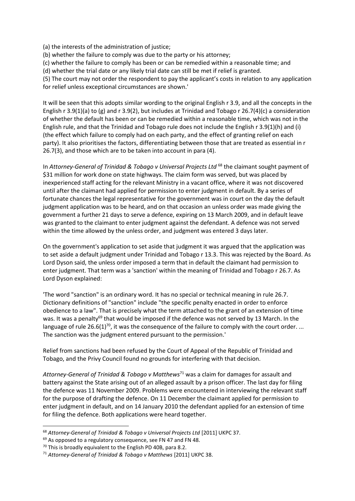- (a) the interests of the administration of justice;
- (b) whether the failure to comply was due to the party or his attorney;
- (c) whether the failure to comply has been or can be remedied within a reasonable time; and

(d) whether the trial date or any likely trial date can still be met if relief is granted.

(5) The court may not order the respondent to pay the applicant's costs in relation to any application for relief unless exceptional circumstances are shown.'

It will be seen that this adopts similar wording to the original English r 3.9, and all the concepts in the English r 3.9(1)(a) to (g) and r 3.9(2), but includes at Trinidad and Tobago r 26.7(4)(c) a consideration of whether the default has been or can be remedied within a reasonable time, which was not in the English rule, and that the Trinidad and Tobago rule does not include the English r 3.9(1)(h) and (i) (the effect which failure to comply had on each party, and the effect of granting relief on each party). It also prioritises the factors, differentiating between those that are treated as essential in r 26.7(3), and those which are to be taken into account in para (4).

In *Attorney-General of Trinidad & Tobago v Universal Projects Ltd* <sup>68</sup> the claimant sought payment of \$31 million for work done on state highways. The claim form was served, but was placed by inexperienced staff acting for the relevant Ministry in a vacant office, where it was not discovered until after the claimant had applied for permission to enter judgment in default. By a series of fortunate chances the legal representative for the government was in court on the day the default judgment application was to be heard, and on that occasion an unless order was made giving the government a further 21 days to serve a defence, expiring on 13 March 2009, and in default leave was granted to the claimant to enter judgment against the defendant. A defence was not served within the time allowed by the unless order, and judgment was entered 3 days later.

On the government's application to set aside that judgment it was argued that the application was to set aside a default judgment under Trinidad and Tobago r 13.3. This was rejected by the Board. As Lord Dyson said, the unless order imposed a term that in default the claimant had permission to enter judgment. That term was a 'sanction' within the meaning of Trinidad and Tobago r 26.7. As Lord Dyson explained:

'The word "sanction" is an ordinary word. It has no special or technical meaning in rule 26.7. Dictionary definitions of "sanction" include "the specific penalty enacted in order to enforce obedience to a law". That is precisely what the term attached to the grant of an extension of time was. It was a penalty<sup>69</sup> that would be imposed if the defence was not served by 13 March. In the language of rule 26.6(1)<sup>70</sup>, it was the consequence of the failure to comply with the court order. ... The sanction was the judgment entered pursuant to the permission.'

Relief from sanctions had been refused by the Court of Appeal of the Republic of Trinidad and Tobago, and the Privy Council found no grounds for interfering with that decision.

*Attorney-General of Trinidad & Tobago v Matthews*<sup>71</sup> was a claim for damages for assault and battery against the State arising out of an alleged assault by a prison officer. The last day for filing the defence was 11 November 2009. Problems were encountered in interviewing the relevant staff for the purpose of drafting the defence. On 11 December the claimant applied for permission to enter judgment in default, and on 14 January 2010 the defendant applied for an extension of time for filing the defence. Both applications were heard together.

<sup>68</sup> *Attorney-General of Trinidad & Tobago v Universal Projects Ltd* [2011] UKPC 37.

<sup>&</sup>lt;sup>69</sup> As opposed to a regulatory consequence, see FN 47 and FN 48.

<sup>&</sup>lt;sup>70</sup> This is broadly equivalent to the English PD 40B, para 8.2.

<sup>71</sup> *Attorney-General of Trinidad & Tobago v Matthews* [2011] UKPC 38.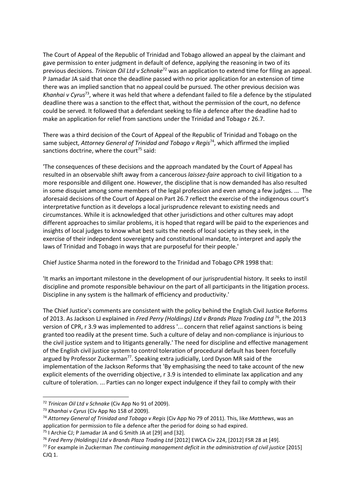The Court of Appeal of the Republic of Trinidad and Tobago allowed an appeal by the claimant and gave permission to enter judgment in default of defence, applying the reasoning in two of its previous decisions. *Trinican Oil Ltd v Schnake*<sup>72</sup> was an application to extend time for filing an appeal. P Jamadar JA said that once the deadline passed with no prior application for an extension of time there was an implied sanction that no appeal could be pursued. The other previous decision was *Khanhai v Cyrus*<sup>73</sup> , where it was held that where a defendant failed to file a defence by the stipulated deadline there was a sanction to the effect that, without the permission of the court, no defence could be served. It followed that a defendant seeking to file a defence after the deadline had to make an application for relief from sanctions under the Trinidad and Tobago r 26.7.

There was a third decision of the Court of Appeal of the Republic of Trinidad and Tobago on the same subject, *Attorney General of Trinidad and Tobago v Regis*<sup>74</sup>, which affirmed the implied sanctions doctrine, where the court<sup>75</sup> said:

'The consequences of these decisions and the approach mandated by the Court of Appeal has resulted in an observable shift away from a cancerous *laissez-faire* approach to civil litigation to a more responsible and diligent one. However, the discipline that is now demanded has also resulted in some disquiet among some members of the legal profession and even among a few judges. ... The aforesaid decisions of the Court of Appeal on Part 26.7 reflect the exercise of the indigenous court's interpretative function as it develops a local jurisprudence relevant to existing needs and circumstances. While it is acknowledged that other jurisdictions and other cultures may adopt different approaches to similar problems, it is hoped that regard will be paid to the experiences and insights of local judges to know what best suits the needs of local society as they seek, in the exercise of their independent sovereignty and constitutional mandate, to interpret and apply the laws of Trinidad and Tobago in ways that are purposeful for their people.'

Chief Justice Sharma noted in the foreword to the Trinidad and Tobago CPR 1998 that:

'It marks an important milestone in the development of our jurisprudential history. It seeks to instil discipline and promote responsible behaviour on the part of all participants in the litigation process. Discipline in any system is the hallmark of efficiency and productivity.'

The Chief Justice's comments are consistent with the policy behind the English Civil Justice Reforms of 2013. As Jackson LJ explained in *Fred Perry (Holdings) Ltd v Brands Plaza Trading Ltd* <sup>76</sup>, the 2013 version of CPR, r 3.9 was implemented to address '... concern that relief against sanctions is being granted too readily at the present time. Such a culture of delay and non-compliance is injurious to the civil justice system and to litigants generally.' The need for discipline and effective management of the English civil justice system to control toleration of procedural default has been forcefully argued by Professor Zuckerman<sup>77</sup>. Speaking extra judicially, Lord Dyson MR said of the implementation of the Jackson Reforms that 'By emphasising the need to take account of the new explicit elements of the overriding objective, r 3.9 is intended to eliminate lax application and any culture of toleration. ... Parties can no longer expect indulgence if they fail to comply with their

<sup>72</sup> *Trinican Oil Ltd v Schnake* (Civ App No 91 of 2009).

<sup>73</sup> *Khanhai v Cyrus* (Civ App No 158 of 2009).

<sup>74</sup> *Attorney General of Trinidad and Tobago v Regis* (Civ App No 79 of 2011). This, like *Matthews*, was an application for permission to file a defence after the period for doing so had expired.

<sup>75</sup> I Archie CJ; P Jamadar JA and G Smith JA at [29] and [32].

<sup>76</sup> *Fred Perry (Holdings) Ltd v Brands Plaza Trading Ltd* [2012] EWCA Civ 224, [2012] FSR 28 at [49].

<sup>77</sup> For example in Zuckerman *The continuing management deficit in the administration of civil justice* [2015] CJQ 1.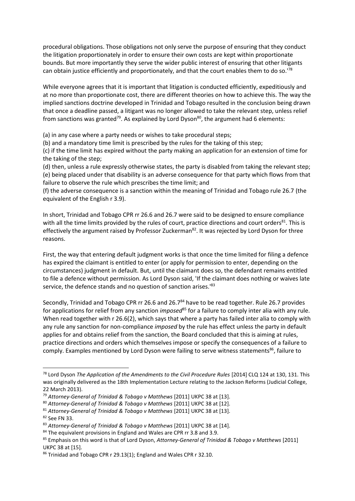procedural obligations. Those obligations not only serve the purpose of ensuring that they conduct the litigation proportionately in order to ensure their own costs are kept within proportionate bounds. But more importantly they serve the wider public interest of ensuring that other litigants can obtain justice efficiently and proportionately, and that the court enables them to do so.'<sup>78</sup>

While everyone agrees that it is important that litigation is conducted efficiently, expeditiously and at no more than proportionate cost, there are different theories on how to achieve this. The way the implied sanctions doctrine developed in Trinidad and Tobago resulted in the conclusion being drawn that once a deadline passed, a litigant was no longer allowed to take the relevant step, unless relief from sanctions was granted<sup>79</sup>. As explained by Lord Dyson<sup>80</sup>, the argument had 6 elements:

(a) in any case where a party needs or wishes to take procedural steps;

(b) and a mandatory time limit is prescribed by the rules for the taking of this step;

(c) if the time limit has expired without the party making an application for an extension of time for the taking of the step;

(d) then, unless a rule expressly otherwise states, the party is disabled from taking the relevant step; (e) being placed under that disability is an adverse consequence for that party which flows from that failure to observe the rule which prescribes the time limit; and

(f) the adverse consequence is a sanction within the meaning of Trinidad and Tobago rule 26.7 (the equivalent of the English r 3.9).

In short, Trinidad and Tobago CPR rr 26.6 and 26.7 were said to be designed to ensure compliance with all the time limits provided by the rules of court, practice directions and court orders<sup>81</sup>. This is effectively the argument raised by Professor Zuckerman<sup>82</sup>. It was rejected by Lord Dyson for three reasons.

First, the way that entering default judgment works is that once the time limited for filing a defence has expired the claimant is entitled to enter (or apply for permission to enter, depending on the circumstances) judgment in default. But, until the claimant does so, the defendant remains entitled to file a defence without permission. As Lord Dyson said, 'If the claimant does nothing or waives late service, the defence stands and no question of sanction arises.<sup>183</sup>

Secondly, Trinidad and Tobago CPR rr 26.6 and 26.7<sup>84</sup> have to be read together. Rule 26.7 provides for applications for relief from any sanction *imposed*<sup>85</sup> for a failure to comply inter alia with any rule. When read together with r 26.6(2), which says that where a party has failed inter alia to comply with any rule any sanction for non-compliance *imposed* by the rule has effect unless the party in default applies for and obtains relief from the sanction, the Board concluded that this is aiming at rules, practice directions and orders which themselves impose or specify the consequences of a failure to comply. Examples mentioned by Lord Dyson were failing to serve witness statements<sup>86</sup>, failure to

<sup>78</sup> Lord Dyson *The Application of the Amendments to the Civil Procedure Rules* [2014] CLQ 124 at 130, 131. This was originally delivered as the 18th Implementation Lecture relating to the Jackson Reforms (Judicial College, 22 March 2013).

<sup>79</sup> *Attorney-General of Trinidad & Tobago v Matthews* [2011] UKPC 38 at [13].

<sup>80</sup> *Attorney-General of Trinidad & Tobago v Matthews* [2011] UKPC 38 at [12].

<sup>81</sup> *Attorney-General of Trinidad & Tobago v Matthews* [2011] UKPC 38 at [13].

<sup>82</sup> See FN 33.

<sup>83</sup> *Attorney-General of Trinidad & Tobago v Matthews* [2011] UKPC 38 at [14].

<sup>&</sup>lt;sup>84</sup> The equivalent provisions in England and Wales are CPR rr 3.8 and 3.9.

<sup>85</sup> Emphasis on this word is that of Lord Dyson, *Attorney-General of Trinidad & Tobago v Matthews* [2011] UKPC 38 at [15].

<sup>86</sup> Trinidad and Tobago CPR r 29.13(1); England and Wales CPR r 32.10.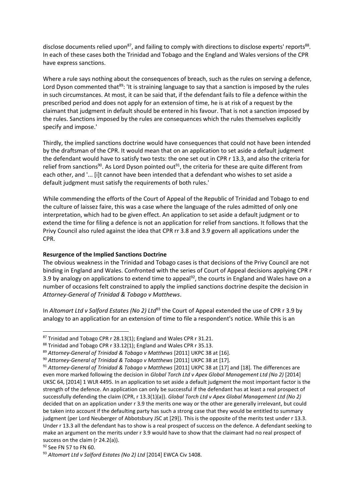disclose documents relied upon<sup>87</sup>, and failing to comply with directions to disclose experts' reports<sup>88</sup>. In each of these cases both the Trinidad and Tobago and the England and Wales versions of the CPR have express sanctions.

Where a rule says nothing about the consequences of breach, such as the rules on serving a defence, Lord Dyson commented that<sup>89</sup>: 'It is straining language to say that a sanction is imposed by the rules in such circumstances. At most, it can be said that, if the defendant fails to file a defence within the prescribed period and does not apply for an extension of time, he is at risk of a request by the claimant that judgment in default should be entered in his favour. That is not a sanction imposed by the rules. Sanctions imposed by the rules are consequences which the rules themselves explicitly specify and impose.'

Thirdly, the implied sanctions doctrine would have consequences that could not have been intended by the draftsman of the CPR. It would mean that on an application to set aside a default judgment the defendant would have to satisfy two tests: the one set out in CPR r 13.3, and also the criteria for relief from sanctions<sup>90</sup>. As Lord Dyson pointed out<sup>91</sup>, the criteria for these are quite different from each other, and '... [i]t cannot have been intended that a defendant who wishes to set aside a default judgment must satisfy the requirements of both rules.'

While commending the efforts of the Court of Appeal of the Republic of Trinidad and Tobago to end the culture of laissez faire, this was a case where the language of the rules admitted of only one interpretation, which had to be given effect. An application to set aside a default judgment or to extend the time for filing a defence is not an application for relief from sanctions. It follows that the Privy Council also ruled against the idea that CPR rr 3.8 and 3.9 govern all applications under the CPR.

#### **Resurgence of the Implied Sanctions Doctrine**

The obvious weakness in the Trinidad and Tobago cases is that decisions of the Privy Council are not binding in England and Wales. Confronted with the series of Court of Appeal decisions applying CPR r 3.9 by analogy on applications to extend time to appeal<sup>92</sup>, the courts in England and Wales have on a number of occasions felt constrained to apply the implied sanctions doctrine despite the decision in *Attorney-General of Trinidad & Tobago v Matthews*.

In *Altomart Ltd v Salford Estates (No 2) Ltd*<sup>93</sup> the Court of Appeal extended the use of CPR r 3.9 by analogy to an application for an extension of time to file a respondent's notice. While this is an

<sup>87</sup> Trinidad and Tobago CPR r 28.13(1); England and Wales CPR r 31.21.

<sup>88</sup> Trinidad and Tobago CPR r 33.12(1); England and Wales CPR r 35.13.

<sup>89</sup> *Attorney-General of Trinidad & Tobago v Matthews* [2011] UKPC 38 at [16].

<sup>90</sup> *Attorney-General of Trinidad & Tobago v Matthews* [2011] UKPC 38 at [17].

<sup>91</sup> *Attorney-General of Trinidad & Tobago v Matthews* [2011] UKPC 38 at [17] and [18]. The differences are even more marked following the decision in *Global Torch Ltd v Apex Global Management Ltd (No 2)* [2014] UKSC 64, [2014] 1 WLR 4495. In an application to set aside a default judgment the most important factor is the strength of the defence. An application can only be successful if the defendant has at least a real prospect of successfully defending the claim (CPR, r 13.3(1)(a)). *Global Torch Ltd v Apex Global Management Ltd (No 2)* decided that on an application under r 3.9 the merits one way or the other are generally irrelevant, but could be taken into account if the defaulting party has such a strong case that they would be entitled to summary judgment (per Lord Neuberger of Abbotsbury JSC at [29]). This is the opposite of the merits test under r 13.3. Under r 13.3 all the defendant has to show is a real prospect of success on the defence. A defendant seeking to make an argument on the merits under r 3.9 would have to show that the claimant had no real prospect of success on the claim (r 24.2(a)).

<sup>92</sup> See FN 57 to FN 60.

<sup>93</sup> *Altomart Ltd v Salford Estates (No 2) Ltd* [2014] EWCA Civ 1408.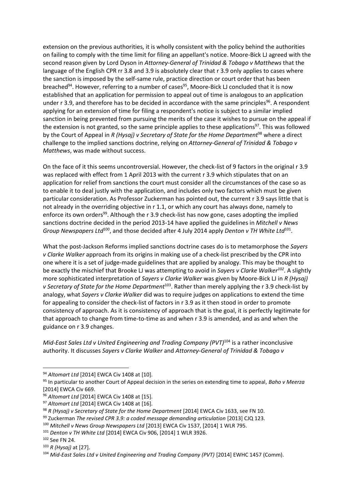extension on the previous authorities, it is wholly consistent with the policy behind the authorities on failing to comply with the time limit for filing an appellant's notice. Moore-Bick LJ agreed with the second reason given by Lord Dyson in *Attorney-General of Trinidad & Tobago v Matthews* that the language of the English CPR rr 3.8 and 3.9 is absolutely clear that r 3.9 only applies to cases where the sanction is imposed by the self-same rule, practice direction or court order that has been breached<sup>94</sup>. However, referring to a number of cases<sup>95</sup>, Moore-Bick LJ concluded that it is now established that an application for permission to appeal out of time is analogous to an application under r 3.9, and therefore has to be decided in accordance with the same principles<sup>96</sup>. A respondent applying for an extension of time for filing a respondent's notice is subject to a similar implied sanction in being prevented from pursuing the merits of the case it wishes to pursue on the appeal if the extension is not granted, so the same principle applies to these applications<sup>97</sup>. This was followed by the Court of Appeal in *R (Hysaj) v Secretary of State for the Home Department*<sup>98</sup> where a direct challenge to the implied sanctions doctrine, relying on *Attorney-General of Trinidad & Tobago v Matthews*, was made without success.

On the face of it this seems uncontroversial. However, the check-list of 9 factors in the original r 3.9 was replaced with effect from 1 April 2013 with the current r 3.9 which stipulates that on an application for relief from sanctions the court must consider all the circumstances of the case so as to enable it to deal justly with the application, and includes only two factors which must be given particular consideration. As Professor Zuckerman has pointed out, the current r 3.9 says little that is not already in the overriding objective in r 1.1, or which any court has always done, namely to enforce its own orders<sup>99</sup>. Although the r 3.9 check-list has now gone, cases adopting the implied sanctions doctrine decided in the period 2013-14 have applied the guidelines in *Mitchell v News*  Group Newspapers Ltd<sup>100</sup>, and those decided after 4 July 2014 apply Denton v TH White Ltd<sup>101</sup>.

What the post-Jackson Reforms implied sanctions doctrine cases do is to metamorphose the *Sayers v Clarke Walker* approach from its origins in making use of a check-list prescribed by the CPR into one where it is a set of judge-made guidelines that are applied by analogy. This may be thought to be exactly the mischief that Brooke LJ was attempting to avoid in *Sayers v Clarke Walker<sup>102</sup>* . A slightly more sophisticated interpretation of *Sayers v Clarke Walker* was given by Moore-Bick LJ in *R (Hysaj)*  v Secretary of State for the Home Department<sup>103</sup>. Rather than merely applying the r 3.9 check-list by analogy, what *Sayers v Clarke Walker* did was to require judges on applications to extend the time for appealing to consider the check-list of factors in r 3.9 as it then stood in order to promote consistency of approach. As it is consistency of approach that is the goal, it is perfectly legitimate for that approach to change from time-to-time as and when r 3.9 is amended, and as and when the guidance on r 3.9 changes.

*Mid-East Sales Ltd v United Engineering and Trading Company (PVT)*<sup>104</sup> is a rather inconclusive authority. It discusses *Sayers v Clarke Walker* and *Attorney-General of Trinidad & Tobago v* 

- <sup>99</sup> Zuckerman *The revised CPR 3.9: a coded message demanding articulation* [2013] CJQ 123.
- <sup>100</sup> *Mitchell v News Group Newspapers Ltd* [2013] EWCA Civ 1537, [2014] 1 WLR 795.

<sup>94</sup> *Altomart Ltd* [2014] EWCA Civ 1408 at [10].

<sup>95</sup> In particular to another Court of Appeal decision in the series on extending time to appeal, *Baho v Meerza* [2014] EWCA Civ 669.

<sup>96</sup> *Altomart Ltd* [2014] EWCA Civ 1408 at [15].

<sup>97</sup> *Altomart Ltd* [2014] EWCA Civ 1408 at [16].

<sup>98</sup> *R (Hysaj) v Secretary of State for the Home Department* [2014] EWCA Civ 1633, see FN 10.

<sup>101</sup> *Denton v TH White Ltd* [2014] EWCA Civ 906, [2014] 1 WLR 3926.

<sup>102</sup> See FN 24.

<sup>103</sup> *R (Hysaj)* at [27].

<sup>104</sup> *Mid-East Sales Ltd v United Engineering and Trading Company (PVT)* [2014] EWHC 1457 (Comm).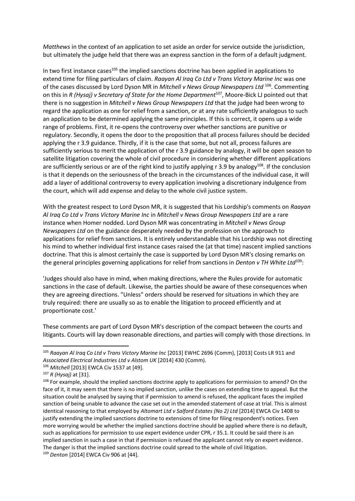*Matthews* in the context of an application to set aside an order for service outside the jurisdiction, but ultimately the judge held that there was an express sanction in the form of a default judgment.

In two first instance cases<sup>105</sup> the implied sanctions doctrine has been applied in applications to extend time for filing particulars of claim. *Raayan Al Iraq Co Ltd v Trans Victory Marine Inc* was one of the cases discussed by Lord Dyson MR in *Mitchell v News Group Newspapers Ltd* <sup>106</sup>. Commenting on this in *R (Hysaj) v Secretary of State for the Home Department*<sup>107</sup>, Moore-Bick LJ pointed out that there is no suggestion in *Mitchell v News Group Newspapers Ltd* that the judge had been wrong to regard the application as one for relief from a sanction, or at any rate sufficiently analogous to such an application to be determined applying the same principles. If this is correct, it opens up a wide range of problems. First, it re-opens the controversy over whether sanctions are punitive or regulatory. Secondly, it opens the door to the proposition that all process failures should be decided applying the r 3.9 guidance. Thirdly, if it is the case that some, but not all, process failures are sufficiently serious to merit the application of the r 3.9 guidance by analogy, it will be open season to satellite litigation covering the whole of civil procedure in considering whether different applications are sufficiently serious or are of the right kind to justify applying r 3.9 by analogy<sup>108</sup>. If the conclusion is that it depends on the seriousness of the breach in the circumstances of the individual case, it will add a layer of additional controversy to every application involving a discretionary indulgence from the court, which will add expense and delay to the whole civil justice system.

With the greatest respect to Lord Dyson MR, it is suggested that his Lordship's comments on *Raayan Al Iraq Co Ltd v Trans Victory Marine Inc* in *Mitchell v News Group Newspapers Ltd* are a rare instance when Homer nodded. Lord Dyson MR was concentrating in *Mitchell v News Group Newspapers Ltd* on the guidance desperately needed by the profession on the approach to applications for relief from sanctions. It is entirely understandable that his Lordship was not directing his mind to whether individual first instance cases raised the (at that time) nascent implied sanctions doctrine. That this is almost certainly the case is supported by Lord Dyson MR's closing remarks on the general principles governing applications for relief from sanctions in *Denton v TH White Ltd*<sup>109</sup>:

'Judges should also have in mind, when making directions, where the Rules provide for automatic sanctions in the case of default. Likewise, the parties should be aware of these consequences when they are agreeing directions. "Unless" orders should be reserved for situations in which they are truly required: there are usually so as to enable the litigation to proceed efficiently and at proportionate cost.'

These comments are part of Lord Dyson MR's description of the compact between the courts and litigants. Courts will lay down reasonable directions, and parties will comply with those directions. In

<sup>105</sup> *Raayan Al Iraq Co Ltd v Trans Victory Marine Inc* [2013] EWHC 2696 (Comm), [2013] Costs LR 911 and *Associated Electrical Industries Ltd v Alstom UK* [2014] 430 (Comm).

<sup>106</sup> *Mitchell* [2013] EWCA Civ 1537 at [49].

<sup>107</sup> *R (Hysaj)* at [31].

<sup>&</sup>lt;sup>108</sup> For example, should the implied sanctions doctrine apply to applications for permission to amend? On the face of it, it may seem that there is no implied sanction, unlike the cases on extending time to appeal. But the situation could be analysed by saying that if permission to amend is refused, the applicant faces the implied sanction of being unable to advance the case set out in the amended statement of case at trial. This is almost identical reasoning to that employed by *Altomart Ltd v Salford Estates (No 2) Ltd* [2014] EWCA Civ 1408 to justify extending the implied sanctions doctrine to extensions of time for filing respondent's notices. Even more worrying would be whether the implied sanctions doctrine should be applied where there is no default, such as applications for permission to use expert evidence under CPR, r 35.1. It could be said there is an implied sanction in such a case in that if permission is refused the applicant cannot rely on expert evidence. The danger is that the implied sanctions doctrine could spread to the whole of civil litigation. <sup>109</sup> *Denton* [2014] EWCA Civ 906 at [44].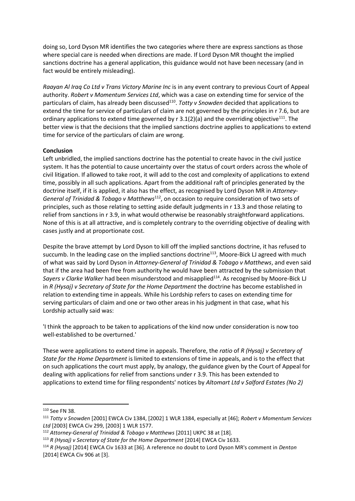doing so, Lord Dyson MR identifies the two categories where there are express sanctions as those where special care is needed when directions are made. If Lord Dyson MR thought the implied sanctions doctrine has a general application, this guidance would not have been necessary (and in fact would be entirely misleading).

*Raayan Al Iraq Co Ltd v Trans Victory Marine Inc* is in any event contrary to previous Court of Appeal authority. *Robert v Momentum Services Ltd*, which was a case on extending time for service of the particulars of claim, has already been discussed<sup>110</sup>. Totty v Snowden decided that applications to extend the time for service of particulars of claim are not governed by the principles in r 7.6, but are ordinary applications to extend time governed by  $r \cdot 3.1(2)(a)$  and the overriding objective<sup>111</sup>. The better view is that the decisions that the implied sanctions doctrine applies to applications to extend time for service of the particulars of claim are wrong.

#### **Conclusion**

Left unbridled, the implied sanctions doctrine has the potential to create havoc in the civil justice system. It has the potential to cause uncertainty over the status of court orders across the whole of civil litigation. If allowed to take root, it will add to the cost and complexity of applications to extend time, possibly in all such applications. Apart from the additional raft of principles generated by the doctrine itself, if it is applied, it also has the effect, as recognised by Lord Dyson MR in *Attorney-*General of Trinidad & Tobago v Matthews<sup>112</sup>, on occasion to require consideration of two sets of principles, such as those relating to setting aside default judgments in r 13.3 and those relating to relief from sanctions in r 3.9, in what would otherwise be reasonably straightforward applications. None of this is at all attractive, and is completely contrary to the overriding objective of dealing with cases justly and at proportionate cost.

Despite the brave attempt by Lord Dyson to kill off the implied sanctions doctrine, it has refused to succumb. In the leading case on the implied sanctions doctrine<sup>113</sup>, Moore-Bick LJ agreed with much of what was said by Lord Dyson in *Attorney-General of Trinidad & Tobago v Matthews*, and even said that if the area had been free from authority he would have been attracted by the submission that Sayers v Clarke Walker had been misunderstood and misapplied<sup>114</sup>. As recognised by Moore-Bick LJ in *R (Hysaj) v Secretary of State for the Home Department* the doctrine has become established in relation to extending time in appeals. While his Lordship refers to cases on extending time for serving particulars of claim and one or two other areas in his judgment in that case, what his Lordship actually said was:

'I think the approach to be taken to applications of the kind now under consideration is now too well-established to be overturned.'

These were applications to extend time in appeals. Therefore, the *ratio* of *R (Hysaj) v Secretary of State for the Home Department* is limited to extensions of time in appeals, and is to the effect that on such applications the court must apply, by analogy, the guidance given by the Court of Appeal for dealing with applications for relief from sanctions under r 3.9. This has been extended to applications to extend time for filing respondents' notices by *Altomart Ltd v Salford Estates (No 2)* 

<sup>110</sup> See FN 38.

<sup>111</sup> *Totty v Snowden* [2001] EWCA Civ 1384, [2002] 1 WLR 1384, especially at [46]; *Robert v Momentum Services Ltd* [2003] EWCA Civ 299, [2003] 1 WLR 1577.

<sup>112</sup> *Attorney-General of Trinidad & Tobago v Matthews* [2011] UKPC 38 at [18].

<sup>113</sup> *R (Hysaj) v Secretary of State for the Home Department* [2014] EWCA Civ 1633.

<sup>114</sup> *R (Hysaj)* [2014] EWCA Civ 1633 at [36]. A reference no doubt to Lord Dyson MR's comment in *Denton* [2014] EWCA Civ 906 at [3].